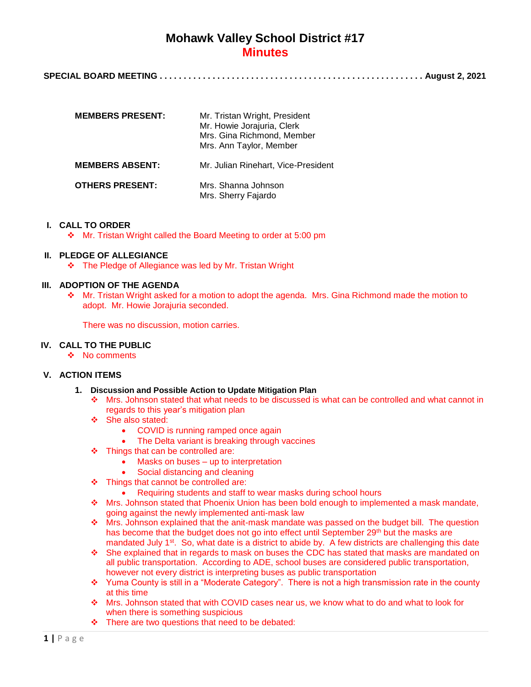# **Mohawk Valley School District #17 Minutes**

**SPECIAL BOARD MEETING . . . . . . . . . . . . . . . . . . . . . . . . . . . . . . . . . . . . . . . . . . . . . . . . . . . . . . . August 2, 2021**

| <b>MEMBERS PRESENT:</b> | Mr. Tristan Wright, President<br>Mr. Howie Jorajuria, Clerk<br>Mrs. Gina Richmond, Member<br>Mrs. Ann Taylor, Member |
|-------------------------|----------------------------------------------------------------------------------------------------------------------|
| <b>MEMBERS ABSENT:</b>  | Mr. Julian Rinehart, Vice-President                                                                                  |
| <b>OTHERS PRESENT:</b>  | Mrs. Shanna Johnson<br>Mrs. Sherry Fajardo                                                                           |

### **I. CALL TO ORDER**

Mr. Tristan Wright called the Board Meeting to order at 5:00 pm

## **II. PLEDGE OF ALLEGIANCE**

The Pledge of Allegiance was led by Mr. Tristan Wright

### **III. ADOPTION OF THE AGENDA**

 Mr. Tristan Wright asked for a motion to adopt the agenda. Mrs. Gina Richmond made the motion to adopt. Mr. Howie Jorajuria seconded.

There was no discussion, motion carries.

#### **IV. CALL TO THE PUBLIC**

❖ No comments

### **V. ACTION ITEMS**

- **1. Discussion and Possible Action to Update Mitigation Plan**
	- Mrs. Johnson stated that what needs to be discussed is what can be controlled and what cannot in regards to this year's mitigation plan
	- ❖ She also stated:
		- COVID is running ramped once again
		- The Delta variant is breaking through vaccines
	- Things that can be controlled are:
		- Masks on buses up to interpretation
		- Social distancing and cleaning
	- $\div$  Things that cannot be controlled are:
		- Requiring students and staff to wear masks during school hours
	- Mrs. Johnson stated that Phoenix Union has been bold enough to implemented a mask mandate, going against the newly implemented anti-mask law
	- Mrs. Johnson explained that the anit-mask mandate was passed on the budget bill. The question has become that the budget does not go into effect until September 29<sup>th</sup> but the masks are mandated July 1<sup>st</sup>. So, what date is a district to abide by. A few districts are challenging this date
	- $\cdot \cdot$  She explained that in regards to mask on buses the CDC has stated that masks are mandated on all public transportation. According to ADE, school buses are considered public transportation, however not every district is interpreting buses as public transportation
	- \* Yuma County is still in a "Moderate Category". There is not a high transmission rate in the county at this time
	- Mrs. Johnson stated that with COVID cases near us, we know what to do and what to look for when there is something suspicious
	- $\div$  There are two questions that need to be debated: